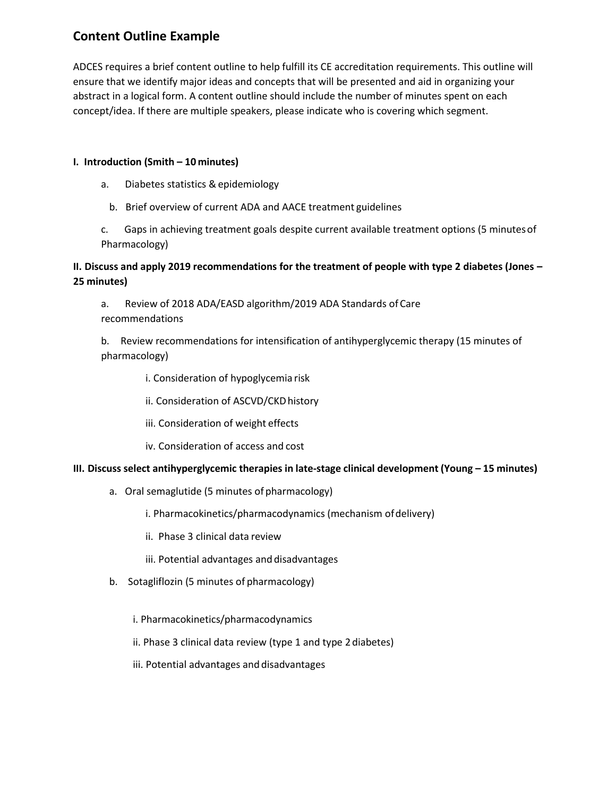## **Content Outline Example**

ADCES requires a brief content outline to help fulfill its CE accreditation requirements. This outline will ensure that we identify major ideas and concepts that will be presented and aid in organizing your abstract in a logical form. A content outline should include the number of minutes spent on each concept/idea. If there are multiple speakers, please indicate who is covering which segment.

## **I. Introduction (Smith – 10 minutes)**

- a. Diabetes statistics & epidemiology
	- b. Brief overview of current ADA and AACE treatment guidelines

c. Gaps in achieving treatment goals despite current available treatment options (5 minutesof Pharmacology)

## **II. Discuss and apply 2019 recommendations for the treatment of people with type 2 diabetes (Jones – 25 minutes)**

a. Review of 2018 ADA/EASD algorithm/2019 ADA Standards of Care recommendations

b. Review recommendations for intensification of antihyperglycemic therapy (15 minutes of pharmacology)

- i. Consideration of hypoglycemia risk
- ii. Consideration of ASCVD/CKD history
- iii. Consideration of weight effects
- iv. Consideration of access and cost

## **III. Discuss select antihyperglycemic therapies in late-stage clinical development (Young – 15 minutes)**

- a. Oral semaglutide (5 minutes of pharmacology)
	- i. Pharmacokinetics/pharmacodynamics (mechanism ofdelivery)
	- ii. Phase 3 clinical data review
	- iii. Potential advantages and disadvantages
- b. Sotagliflozin (5 minutes of pharmacology)
	- i. Pharmacokinetics/pharmacodynamics
	- ii. Phase 3 clinical data review (type 1 and type 2diabetes)
	- iii. Potential advantages and disadvantages